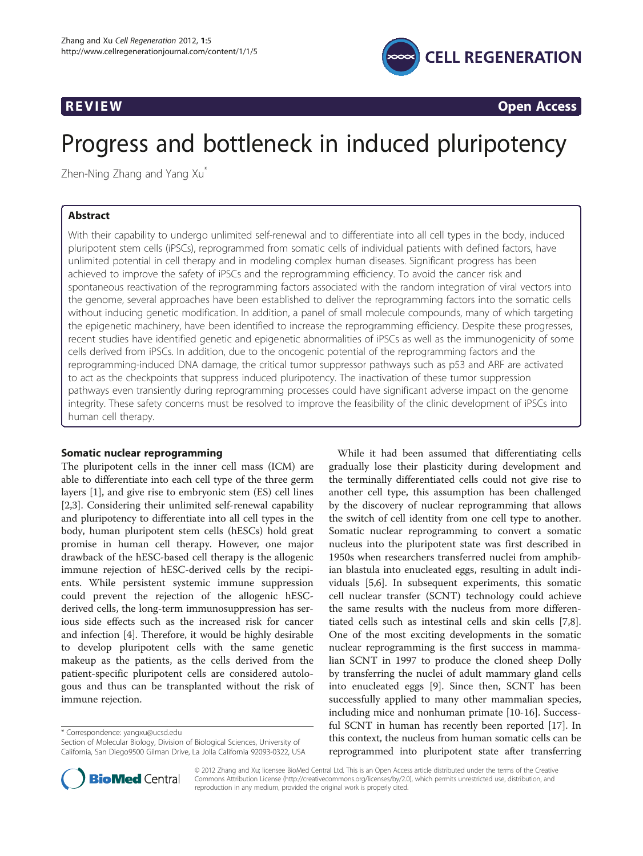

**REVIEW CONSIDERING CONSIDERING CONSIDERING CONSIDERING CONSIDERING CONSIDERING CONSIDERING CONSIDERING CONSIDERING CONSIDERING CONSIDERING CONSIDERING CONSIDERING CONSIDERING CONSIDERING CONSIDERING CONSIDERING CONSIDER** 

# Progress and bottleneck in induced pluripotency

Zhen-Ning Zhang and Yang Xu\*

# Abstract

With their capability to undergo unlimited self-renewal and to differentiate into all cell types in the body, induced pluripotent stem cells (iPSCs), reprogrammed from somatic cells of individual patients with defined factors, have unlimited potential in cell therapy and in modeling complex human diseases. Significant progress has been achieved to improve the safety of iPSCs and the reprogramming efficiency. To avoid the cancer risk and spontaneous reactivation of the reprogramming factors associated with the random integration of viral vectors into the genome, several approaches have been established to deliver the reprogramming factors into the somatic cells without inducing genetic modification. In addition, a panel of small molecule compounds, many of which targeting the epigenetic machinery, have been identified to increase the reprogramming efficiency. Despite these progresses, recent studies have identified genetic and epigenetic abnormalities of iPSCs as well as the immunogenicity of some cells derived from iPSCs. In addition, due to the oncogenic potential of the reprogramming factors and the reprogramming-induced DNA damage, the critical tumor suppressor pathways such as p53 and ARF are activated to act as the checkpoints that suppress induced pluripotency. The inactivation of these tumor suppression pathways even transiently during reprogramming processes could have significant adverse impact on the genome integrity. These safety concerns must be resolved to improve the feasibility of the clinic development of iPSCs into human cell therapy.

# Somatic nuclear reprogramming

The pluripotent cells in the inner cell mass (ICM) are able to differentiate into each cell type of the three germ layers [\[1](#page-6-0)], and give rise to embryonic stem (ES) cell lines [[2,3\]](#page-6-0). Considering their unlimited self-renewal capability and pluripotency to differentiate into all cell types in the body, human pluripotent stem cells (hESCs) hold great promise in human cell therapy. However, one major drawback of the hESC-based cell therapy is the allogenic immune rejection of hESC-derived cells by the recipients. While persistent systemic immune suppression could prevent the rejection of the allogenic hESCderived cells, the long-term immunosuppression has serious side effects such as the increased risk for cancer and infection [\[4](#page-6-0)]. Therefore, it would be highly desirable to develop pluripotent cells with the same genetic makeup as the patients, as the cells derived from the patient-specific pluripotent cells are considered autologous and thus can be transplanted without the risk of immune rejection.

\* Correspondence: [yangxu@ucsd.edu](mailto:yangxu@ucsd.edu)

While it had been assumed that differentiating cells gradually lose their plasticity during development and the terminally differentiated cells could not give rise to another cell type, this assumption has been challenged by the discovery of nuclear reprogramming that allows the switch of cell identity from one cell type to another. Somatic nuclear reprogramming to convert a somatic nucleus into the pluripotent state was first described in 1950s when researchers transferred nuclei from amphibian blastula into enucleated eggs, resulting in adult individuals [\[5](#page-6-0),[6](#page-6-0)]. In subsequent experiments, this somatic cell nuclear transfer (SCNT) technology could achieve the same results with the nucleus from more differentiated cells such as intestinal cells and skin cells [\[7,8](#page-6-0)]. One of the most exciting developments in the somatic nuclear reprogramming is the first success in mammalian SCNT in 1997 to produce the cloned sheep Dolly by transferring the nuclei of adult mammary gland cells into enucleated eggs [\[9\]](#page-6-0). Since then, SCNT has been successfully applied to many other mammalian species, including mice and nonhuman primate [\[10](#page-6-0)-[16](#page-6-0)]. Successful SCNT in human has recently been reported [\[17\]](#page-6-0). In this context, the nucleus from human somatic cells can be reprogrammed into pluripotent state after transferring



© 2012 Zhang and Xu; licensee BioMed Central Ltd. This is an Open Access article distributed under the terms of the Creative Commons Attribution License [\(http://creativecommons.org/licenses/by/2.0\)](http://creativecommons.org/licenses/by/2.0), which permits unrestricted use, distribution, and reproduction in any medium, provided the original work is properly cited.

Section of Molecular Biology, Division of Biological Sciences, University of California, San Diego9500 Gilman Drive, La Jolla California 92093-0322, USA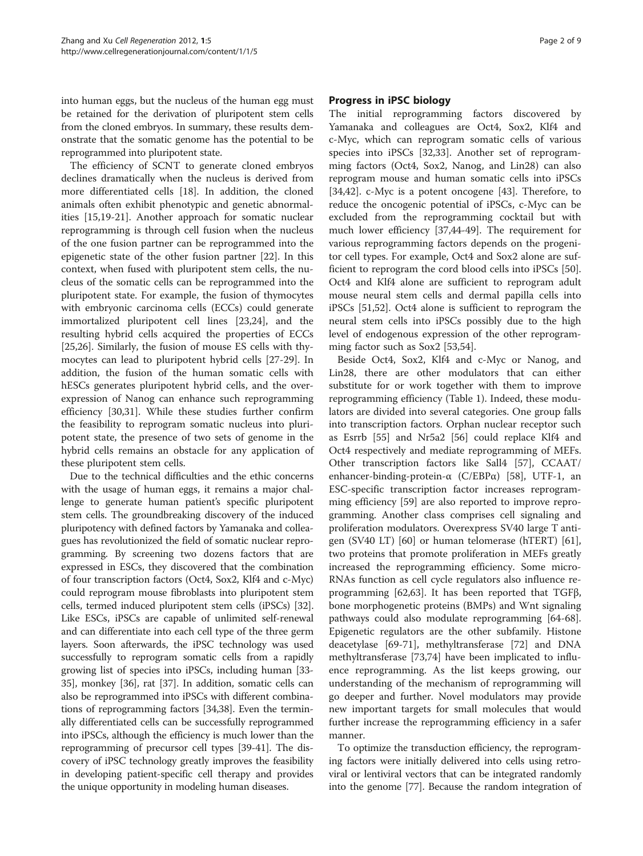into human eggs, but the nucleus of the human egg must be retained for the derivation of pluripotent stem cells from the cloned embryos. In summary, these results demonstrate that the somatic genome has the potential to be reprogrammed into pluripotent state.

The efficiency of SCNT to generate cloned embryos declines dramatically when the nucleus is derived from more differentiated cells [\[18](#page-6-0)]. In addition, the cloned animals often exhibit phenotypic and genetic abnormalities [\[15,19-21](#page-6-0)]. Another approach for somatic nuclear reprogramming is through cell fusion when the nucleus of the one fusion partner can be reprogrammed into the epigenetic state of the other fusion partner [\[22](#page-6-0)]. In this context, when fused with pluripotent stem cells, the nucleus of the somatic cells can be reprogrammed into the pluripotent state. For example, the fusion of thymocytes with embryonic carcinoma cells (ECCs) could generate immortalized pluripotent cell lines [\[23,24\]](#page-6-0), and the resulting hybrid cells acquired the properties of ECCs [[25,26\]](#page-6-0). Similarly, the fusion of mouse ES cells with thymocytes can lead to pluripotent hybrid cells [\[27](#page-7-0)-[29\]](#page-7-0). In addition, the fusion of the human somatic cells with hESCs generates pluripotent hybrid cells, and the overexpression of Nanog can enhance such reprogramming efficiency [\[30,31\]](#page-7-0). While these studies further confirm the feasibility to reprogram somatic nucleus into pluripotent state, the presence of two sets of genome in the hybrid cells remains an obstacle for any application of these pluripotent stem cells.

Due to the technical difficulties and the ethic concerns with the usage of human eggs, it remains a major challenge to generate human patient's specific pluripotent stem cells. The groundbreaking discovery of the induced pluripotency with defined factors by Yamanaka and colleagues has revolutionized the field of somatic nuclear reprogramming. By screening two dozens factors that are expressed in ESCs, they discovered that the combination of four transcription factors (Oct4, Sox2, Klf4 and c-Myc) could reprogram mouse fibroblasts into pluripotent stem cells, termed induced pluripotent stem cells (iPSCs) [[32](#page-7-0)]. Like ESCs, iPSCs are capable of unlimited self-renewal and can differentiate into each cell type of the three germ layers. Soon afterwards, the iPSC technology was used successfully to reprogram somatic cells from a rapidly growing list of species into iPSCs, including human [\[33-](#page-7-0) [35](#page-7-0)], monkey [\[36\]](#page-7-0), rat [[37](#page-7-0)]. In addition, somatic cells can also be reprogrammed into iPSCs with different combinations of reprogramming factors [\[34,38](#page-7-0)]. Even the terminally differentiated cells can be successfully reprogrammed into iPSCs, although the efficiency is much lower than the reprogramming of precursor cell types [[39](#page-7-0)-[41](#page-7-0)]. The discovery of iPSC technology greatly improves the feasibility in developing patient-specific cell therapy and provides the unique opportunity in modeling human diseases.

# Progress in iPSC biology

The initial reprogramming factors discovered by Yamanaka and colleagues are Oct4, Sox2, Klf4 and c-Myc, which can reprogram somatic cells of various species into iPSCs [\[32,33](#page-7-0)]. Another set of reprogramming factors (Oct4, Sox2, Nanog, and Lin28) can also reprogram mouse and human somatic cells into iPSCs [[34,42\]](#page-7-0). c-Myc is a potent oncogene [[43](#page-7-0)]. Therefore, to reduce the oncogenic potential of iPSCs, c-Myc can be excluded from the reprogramming cocktail but with much lower efficiency [[37,44-49](#page-7-0)]. The requirement for various reprogramming factors depends on the progenitor cell types. For example, Oct4 and Sox2 alone are sufficient to reprogram the cord blood cells into iPSCs [\[50](#page-7-0)]. Oct4 and Klf4 alone are sufficient to reprogram adult mouse neural stem cells and dermal papilla cells into iPSCs [\[51,52\]](#page-7-0). Oct4 alone is sufficient to reprogram the neural stem cells into iPSCs possibly due to the high level of endogenous expression of the other reprogramming factor such as Sox2 [\[53,54\]](#page-7-0).

Beside Oct4, Sox2, Klf4 and c-Myc or Nanog, and Lin28, there are other modulators that can either substitute for or work together with them to improve reprogramming efficiency (Table [1\)](#page-2-0). Indeed, these modulators are divided into several categories. One group falls into transcription factors. Orphan nuclear receptor such as Esrrb [[55](#page-7-0)] and Nr5a2 [[56\]](#page-7-0) could replace Klf4 and Oct4 respectively and mediate reprogramming of MEFs. Other transcription factors like Sall4 [[57\]](#page-7-0), CCAAT/ enhancer-binding-protein-α (C/EBPα) [\[58](#page-7-0)], UTF-1, an ESC-specific transcription factor increases reprogramming efficiency [[59\]](#page-7-0) are also reported to improve reprogramming. Another class comprises cell signaling and proliferation modulators. Overexpress SV40 large T antigen (SV40 LT) [\[60](#page-7-0)] or human telomerase (hTERT) [\[61](#page-7-0)], two proteins that promote proliferation in MEFs greatly increased the reprogramming efficiency. Some micro-RNAs function as cell cycle regulators also influence reprogramming [\[62,63\]](#page-7-0). It has been reported that TGFβ, bone morphogenetic proteins (BMPs) and Wnt signaling pathways could also modulate reprogramming [\[64-68](#page-7-0)]. Epigenetic regulators are the other subfamily. Histone deacetylase [[69-71](#page-7-0)], methyltransferase [\[72](#page-7-0)] and DNA methyltransferase [[73,74\]](#page-7-0) have been implicated to influence reprogramming. As the list keeps growing, our understanding of the mechanism of reprogramming will go deeper and further. Novel modulators may provide new important targets for small molecules that would further increase the reprogramming efficiency in a safer manner.

To optimize the transduction efficiency, the reprograming factors were initially delivered into cells using retroviral or lentiviral vectors that can be integrated randomly into the genome [[77](#page-7-0)]. Because the random integration of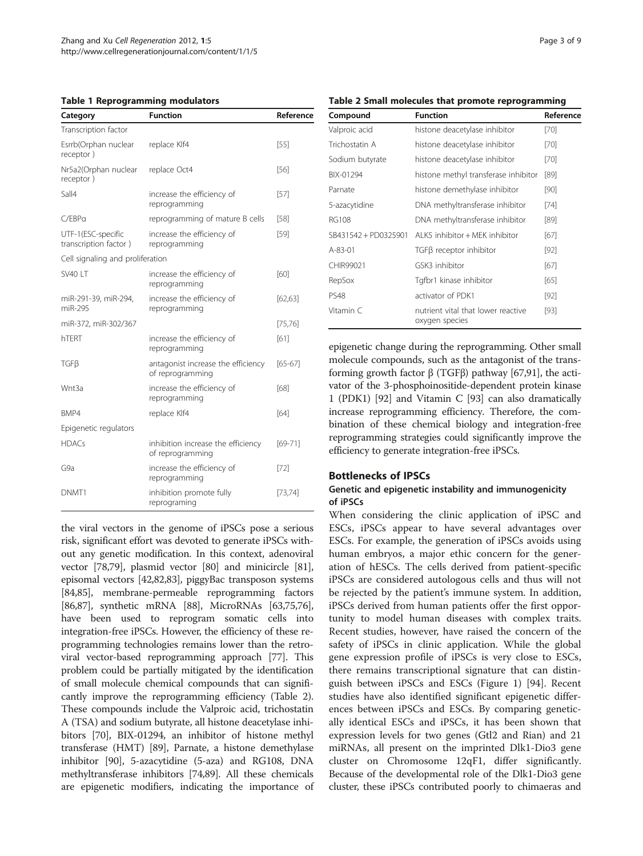#### <span id="page-2-0"></span>Table 1 Reprogramming modulators

| Category                                    | <b>Function</b>                                        | Reference   |
|---------------------------------------------|--------------------------------------------------------|-------------|
| Transcription factor                        |                                                        |             |
| Esrrb(Orphan nuclear<br>receptor)           | replace Klf4                                           | [55]        |
| Nr5a2(Orphan nuclear<br>receptor)           | replace Oct4                                           | [56]        |
| Sall4                                       | increase the efficiency of<br>reprogramming            | $[57]$      |
| C/EBPa                                      | reprogramming of mature B cells                        | [58]        |
| UTF-1(ESC-specific<br>transcription factor) | increase the efficiency of<br>reprogramming            | [59]        |
| Cell signaling and proliferation            |                                                        |             |
| SV <sub>40</sub> LT                         | increase the efficiency of<br>reprogramming            | [60]        |
| miR-291-39, miR-294,<br>miR-295             | increase the efficiency of<br>reprogramming            | [62, 63]    |
| miR-372, miR-302/367                        |                                                        | [75, 76]    |
| hTFRT                                       | increase the efficiency of<br>reprogramming            | $[61]$      |
| $TGF\beta$                                  | antagonist increase the efficiency<br>of reprogramming | $[65 - 67]$ |
| Wnt3a                                       | increase the efficiency of<br>reprogramming            | [68]        |
| BMP4                                        | replace Klf4                                           | [64]        |
| Epigenetic regulators                       |                                                        |             |
| <b>HDACs</b>                                | inhibition increase the efficiency<br>of reprogramming | $[69 - 71]$ |
| G9a                                         | increase the efficiency of<br>reprogramming            | $[72]$      |
| DNMT1                                       | inhibition promote fully<br>reprograming               | [73, 74]    |

the viral vectors in the genome of iPSCs pose a serious risk, significant effort was devoted to generate iPSCs without any genetic modification. In this context, adenoviral vector [[78,79\]](#page-7-0), plasmid vector [\[80\]](#page-7-0) and minicircle [[81](#page-7-0)], episomal vectors [\[42,82,83\]](#page-7-0), piggyBac transposon systems [[84,85](#page-7-0)], membrane-permeable reprogramming factors [[86](#page-7-0)[,87](#page-8-0)], synthetic mRNA [\[88\]](#page-8-0), MicroRNAs [\[63,75,76](#page-7-0)], have been used to reprogram somatic cells into integration-free iPSCs. However, the efficiency of these reprogramming technologies remains lower than the retroviral vector-based reprogramming approach [[77](#page-7-0)]. This problem could be partially mitigated by the identification of small molecule chemical compounds that can significantly improve the reprogramming efficiency (Table 2). These compounds include the Valproic acid, trichostatin A (TSA) and sodium butyrate, all histone deacetylase inhibitors [\[70\]](#page-7-0), BIX-01294, an inhibitor of histone methyl transferase (HMT) [[89](#page-8-0)], Parnate, a histone demethylase inhibitor [\[90\]](#page-8-0), 5-azacytidine (5-aza) and RG108, DNA methyltransferase inhibitors [\[74,](#page-7-0)[89](#page-8-0)]. All these chemicals are epigenetic modifiers, indicating the importance of Table 2 Small molecules that promote reprogramming

| Compound             | <b>Function</b>                                      | Reference |
|----------------------|------------------------------------------------------|-----------|
| Valproic acid        | histone deacetylase inhibitor                        | $[70]$    |
| Trichostatin A       | histone deacetylase inhibitor                        | $[70]$    |
| Sodium butyrate      | histone deacetylase inhibitor                        | $[70]$    |
| BIX-01294            | histone methyl transferase inhibitor                 | [89]      |
| Parnate              | histone demethylase inhibitor                        | [90]      |
| 5-azacytidine        | DNA methyltransferase inhibitor                      | $[74]$    |
| <b>RG108</b>         | DNA methyltransferase inhibitor                      | [89]      |
| SB431542 + PD0325901 | ALK5 inhibitor + MEK inhibitor                       | [67]      |
| A-83-01              | $TGF\beta$ receptor inhibitor                        | $[92]$    |
| CHIR99021            | GSK3 inhibitor                                       | [67]      |
| RepSox               | Tgfbr1 kinase inhibitor                              | [65]      |
| <b>PS48</b>          | activator of PDK1                                    | $[92]$    |
| Vitamin C            | nutrient vital that lower reactive<br>oxygen species | [93]      |

epigenetic change during the reprogramming. Other small molecule compounds, such as the antagonist of the transforming growth factor β (TGFβ) pathway [\[67,](#page-7-0)[91](#page-8-0)], the activator of the 3-phosphoinositide-dependent protein kinase 1 (PDK1) [\[92](#page-8-0)] and Vitamin C [[93](#page-8-0)] can also dramatically increase reprogramming efficiency. Therefore, the combination of these chemical biology and integration-free reprogramming strategies could significantly improve the efficiency to generate integration-free iPSCs.

### Bottlenecks of IPSCs

# Genetic and epigenetic instability and immunogenicity of iPSCs

When considering the clinic application of iPSC and ESCs, iPSCs appear to have several advantages over ESCs. For example, the generation of iPSCs avoids using human embryos, a major ethic concern for the generation of hESCs. The cells derived from patient-specific iPSCs are considered autologous cells and thus will not be rejected by the patient's immune system. In addition, iPSCs derived from human patients offer the first opportunity to model human diseases with complex traits. Recent studies, however, have raised the concern of the safety of iPSCs in clinic application. While the global gene expression profile of iPSCs is very close to ESCs, there remains transcriptional signature that can distinguish between iPSCs and ESCs (Figure [1](#page-3-0)) [\[94\]](#page-8-0). Recent studies have also identified significant epigenetic differences between iPSCs and ESCs. By comparing genetically identical ESCs and iPSCs, it has been shown that expression levels for two genes (Gtl2 and Rian) and 21 miRNAs, all present on the imprinted Dlk1-Dio3 gene cluster on Chromosome 12qF1, differ significantly. Because of the developmental role of the Dlk1-Dio3 gene cluster, these iPSCs contributed poorly to chimaeras and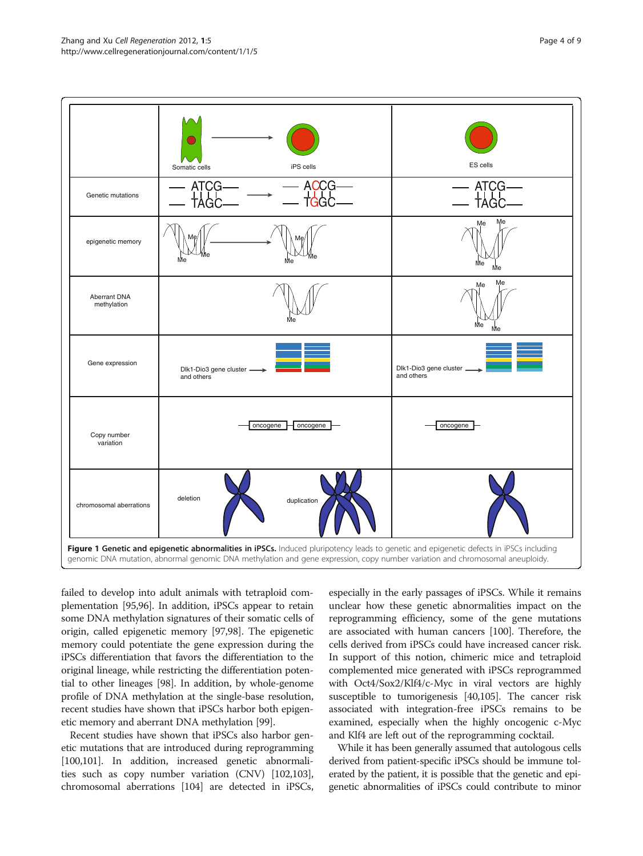<span id="page-3-0"></span>

failed to develop into adult animals with tetraploid complementation [\[95,96\]](#page-8-0). In addition, iPSCs appear to retain some DNA methylation signatures of their somatic cells of origin, called epigenetic memory [\[97,98\]](#page-8-0). The epigenetic memory could potentiate the gene expression during the iPSCs differentiation that favors the differentiation to the original lineage, while restricting the differentiation potential to other lineages [\[98](#page-8-0)]. In addition, by whole-genome profile of DNA methylation at the single-base resolution, recent studies have shown that iPSCs harbor both epigenetic memory and aberrant DNA methylation [\[99\]](#page-8-0).

Recent studies have shown that iPSCs also harbor genetic mutations that are introduced during reprogramming [[100,101\]](#page-8-0). In addition, increased genetic abnormalities such as copy number variation (CNV) [\[102,103](#page-8-0)], chromosomal aberrations [[104](#page-8-0)] are detected in iPSCs, especially in the early passages of iPSCs. While it remains unclear how these genetic abnormalities impact on the reprogramming efficiency, some of the gene mutations are associated with human cancers [[100](#page-8-0)]. Therefore, the cells derived from iPSCs could have increased cancer risk. In support of this notion, chimeric mice and tetraploid complemented mice generated with iPSCs reprogrammed with Oct4/Sox2/Klf4/c-Myc in viral vectors are highly susceptible to tumorigenesis [\[40,](#page-7-0)[105](#page-8-0)]. The cancer risk associated with integration-free iPSCs remains to be examined, especially when the highly oncogenic c-Myc and Klf4 are left out of the reprogramming cocktail.

While it has been generally assumed that autologous cells derived from patient-specific iPSCs should be immune tolerated by the patient, it is possible that the genetic and epigenetic abnormalities of iPSCs could contribute to minor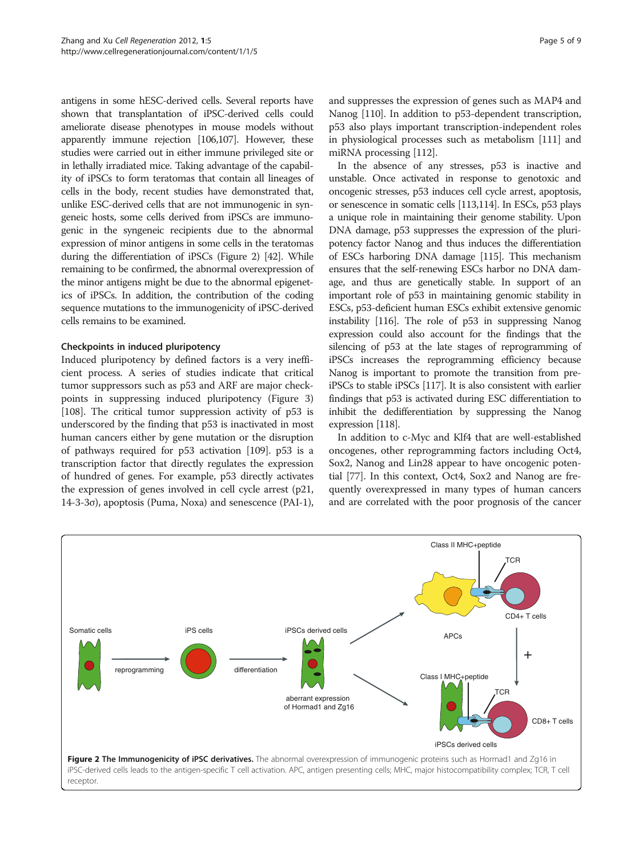antigens in some hESC-derived cells. Several reports have shown that transplantation of iPSC-derived cells could ameliorate disease phenotypes in mouse models without apparently immune rejection [\[106,107](#page-8-0)]. However, these studies were carried out in either immune privileged site or in lethally irradiated mice. Taking advantage of the capability of iPSCs to form teratomas that contain all lineages of cells in the body, recent studies have demonstrated that, unlike ESC-derived cells that are not immunogenic in syngeneic hosts, some cells derived from iPSCs are immunogenic in the syngeneic recipients due to the abnormal expression of minor antigens in some cells in the teratomas during the differentiation of iPSCs (Figure 2) [\[42](#page-7-0)]. While remaining to be confirmed, the abnormal overexpression of the minor antigens might be due to the abnormal epigenetics of iPSCs. In addition, the contribution of the coding sequence mutations to the immunogenicity of iPSC-derived cells remains to be examined.

# Checkpoints in induced pluripotency

Induced pluripotency by defined factors is a very inefficient process. A series of studies indicate that critical tumor suppressors such as p53 and ARF are major checkpoints in suppressing induced pluripotency (Figure [3](#page-5-0)) [[108](#page-8-0)]. The critical tumor suppression activity of p53 is underscored by the finding that p53 is inactivated in most human cancers either by gene mutation or the disruption of pathways required for p53 activation [\[109\]](#page-8-0). p53 is a transcription factor that directly regulates the expression of hundred of genes. For example, p53 directly activates the expression of genes involved in cell cycle arrest (p21, 14-3-3σ), apoptosis (Puma, Noxa) and senescence (PAI-1),

and suppresses the expression of genes such as MAP4 and Nanog [\[110](#page-8-0)]. In addition to p53-dependent transcription, p53 also plays important transcription-independent roles in physiological processes such as metabolism [\[111\]](#page-8-0) and miRNA processing [[112](#page-8-0)].

In the absence of any stresses, p53 is inactive and unstable. Once activated in response to genotoxic and oncogenic stresses, p53 induces cell cycle arrest, apoptosis, or senescence in somatic cells [\[113,114\]](#page-8-0). In ESCs, p53 plays a unique role in maintaining their genome stability. Upon DNA damage, p53 suppresses the expression of the pluripotency factor Nanog and thus induces the differentiation of ESCs harboring DNA damage [[115\]](#page-8-0). This mechanism ensures that the self-renewing ESCs harbor no DNA damage, and thus are genetically stable. In support of an important role of p53 in maintaining genomic stability in ESCs, p53-deficient human ESCs exhibit extensive genomic instability [[116\]](#page-8-0). The role of p53 in suppressing Nanog expression could also account for the findings that the silencing of p53 at the late stages of reprogramming of iPSCs increases the reprogramming efficiency because Nanog is important to promote the transition from preiPSCs to stable iPSCs [\[117\]](#page-8-0). It is also consistent with earlier findings that p53 is activated during ESC differentiation to inhibit the dedifferentiation by suppressing the Nanog expression [[118\]](#page-8-0).

In addition to c-Myc and Klf4 that are well-established oncogenes, other reprogramming factors including Oct4, Sox2, Nanog and Lin28 appear to have oncogenic potential [\[77\]](#page-7-0). In this context, Oct4, Sox2 and Nanog are frequently overexpressed in many types of human cancers and are correlated with the poor prognosis of the cancer

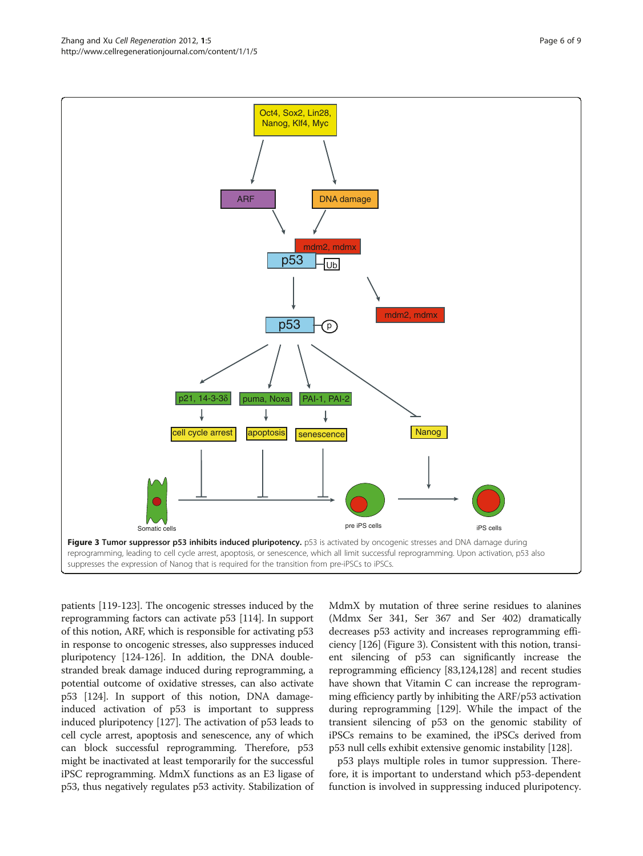patients [\[119-123\]](#page-8-0). The oncogenic stresses induced by the reprogramming factors can activate p53 [[114](#page-8-0)]. In support of this notion, ARF, which is responsible for activating p53 in response to oncogenic stresses, also suppresses induced pluripotency [[124-126](#page-8-0)]. In addition, the DNA doublestranded break damage induced during reprogramming, a potential outcome of oxidative stresses, can also activate p53 [[124](#page-8-0)]. In support of this notion, DNA damageinduced activation of p53 is important to suppress induced pluripotency [\[127](#page-8-0)]. The activation of p53 leads to cell cycle arrest, apoptosis and senescence, any of which can block successful reprogramming. Therefore, p53 might be inactivated at least temporarily for the successful iPSC reprogramming. MdmX functions as an E3 ligase of p53, thus negatively regulates p53 activity. Stabilization of MdmX by mutation of three serine residues to alanines (Mdmx Ser 341, Ser 367 and Ser 402) dramatically decreases p53 activity and increases reprogramming efficiency [\[126\]](#page-8-0) (Figure 3). Consistent with this notion, transient silencing of p53 can significantly increase the reprogramming efficiency [[83](#page-7-0),[124,128\]](#page-8-0) and recent studies have shown that Vitamin C can increase the reprogramming efficiency partly by inhibiting the ARF/p53 activation during reprogramming [[129](#page-8-0)]. While the impact of the transient silencing of p53 on the genomic stability of iPSCs remains to be examined, the iPSCs derived from p53 null cells exhibit extensive genomic instability [[128](#page-8-0)].

p53 plays multiple roles in tumor suppression. Therefore, it is important to understand which p53-dependent function is involved in suppressing induced pluripotency.

<span id="page-5-0"></span>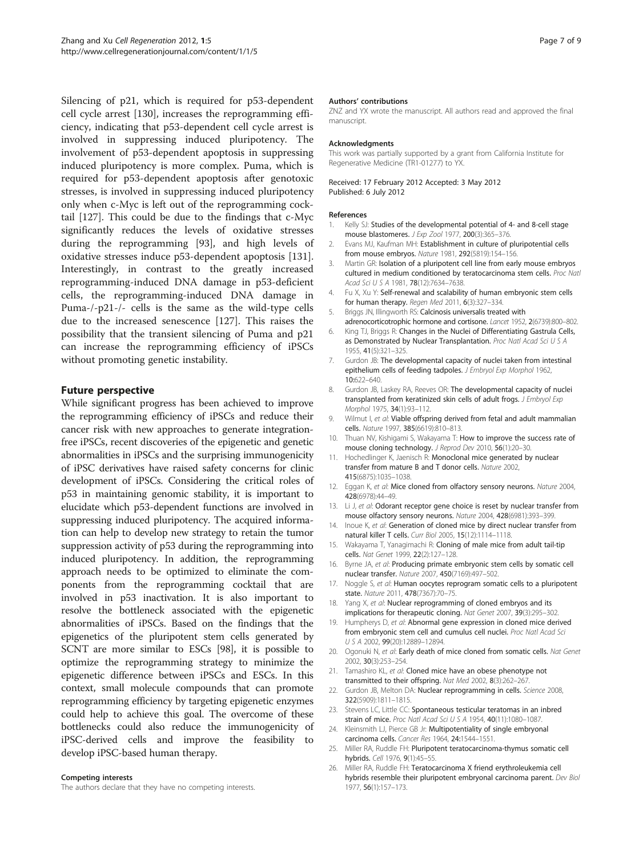<span id="page-6-0"></span>Silencing of p21, which is required for p53-dependent cell cycle arrest [\[130\]](#page-8-0), increases the reprogramming efficiency, indicating that p53-dependent cell cycle arrest is involved in suppressing induced pluripotency. The involvement of p53-dependent apoptosis in suppressing induced pluripotency is more complex. Puma, which is required for p53-dependent apoptosis after genotoxic stresses, is involved in suppressing induced pluripotency only when c-Myc is left out of the reprogramming cocktail [\[127\]](#page-8-0). This could be due to the findings that c-Myc significantly reduces the levels of oxidative stresses during the reprogramming [\[93](#page-8-0)], and high levels of oxidative stresses induce p53-dependent apoptosis [\[131](#page-8-0)]. Interestingly, in contrast to the greatly increased reprogramming-induced DNA damage in p53-deficient cells, the reprogramming-induced DNA damage in Puma-/-p21-/- cells is the same as the wild-type cells due to the increased senescence [[127](#page-8-0)]. This raises the possibility that the transient silencing of Puma and p21 can increase the reprogramming efficiency of iPSCs without promoting genetic instability.

# Future perspective

While significant progress has been achieved to improve the reprogramming efficiency of iPSCs and reduce their cancer risk with new approaches to generate integrationfree iPSCs, recent discoveries of the epigenetic and genetic abnormalities in iPSCs and the surprising immunogenicity of iPSC derivatives have raised safety concerns for clinic development of iPSCs. Considering the critical roles of p53 in maintaining genomic stability, it is important to elucidate which p53-dependent functions are involved in suppressing induced pluripotency. The acquired information can help to develop new strategy to retain the tumor suppression activity of p53 during the reprogramming into induced pluripotency. In addition, the reprogramming approach needs to be optimized to eliminate the components from the reprogramming cocktail that are involved in p53 inactivation. It is also important to resolve the bottleneck associated with the epigenetic abnormalities of iPSCs. Based on the findings that the epigenetics of the pluripotent stem cells generated by SCNT are more similar to ESCs [[98\]](#page-8-0), it is possible to optimize the reprogramming strategy to minimize the epigenetic difference between iPSCs and ESCs. In this context, small molecule compounds that can promote reprogramming efficiency by targeting epigenetic enzymes could help to achieve this goal. The overcome of these bottlenecks could also reduce the immunogenicity of iPSC-derived cells and improve the feasibility to develop iPSC-based human therapy.

#### Competing interests

The authors declare that they have no competing interests.

#### Authors' contributions

ZNZ and YX wrote the manuscript. All authors read and approved the final manuscript.

#### Acknowledgments

This work was partially supported by a grant from California Institute for Regenerative Medicine (TR1-01277) to YX.

#### Received: 17 February 2012 Accepted: 3 May 2012 Published: 6 July 2012

#### References

- Kelly SJ: Studies of the developmental potential of 4- and 8-cell stage mouse blastomeres. J Exp Zool 1977, 200(3):365–376.
- 2. Evans MJ, Kaufman MH: Establishment in culture of pluripotential cells from mouse embryos. Nature 1981, 292(5819):154–156.
- 3. Martin GR: Isolation of a pluripotent cell line from early mouse embryos cultured in medium conditioned by teratocarcinoma stem cells. Proc Natl Acad Sci U S A 1981, 78(12):7634–7638.
- 4. Fu X, Xu Y: Self-renewal and scalability of human embryonic stem cells for human therapy. Regen Med 2011, 6(3):327–334.
- 5. Briggs JN, Illingworth RS: Calcinosis universalis treated with adrenocorticotrophic hormone and cortisone. Lancet 1952, 2(6739):800–802.
- 6. King TJ, Briggs R: Changes in the Nuclei of Differentiating Gastrula Cells, as Demonstrated by Nuclear Transplantation. Proc Natl Acad Sci U S A 1955, 41(5):321–325.
- 7. Gurdon JB: The developmental capacity of nuclei taken from intestinal epithelium cells of feeding tadpoles. J Embryol Exp Morphol 1962, 10:622–640.
- 8. Gurdon JB, Laskey RA, Reeves OR: The developmental capacity of nuclei transplanted from keratinized skin cells of adult frogs. J Embryol Exp Morphol 1975, 34(1):93–112.
- 9. Wilmut I, et al: Viable offspring derived from fetal and adult mammalian cells. Nature 1997, 385(6619):810–813.
- 10. Thuan NV, Kishigami S, Wakayama T: How to improve the success rate of mouse cloning technology. J Reprod Dev 2010, 56(1):20–30.
- 11. Hochedlinger K, Jaenisch R: Monoclonal mice generated by nuclear transfer from mature B and T donor cells. Nature 2002, 415(6875):1035–1038.
- 12. Eggan K, et al: Mice cloned from olfactory sensory neurons. Nature 2004, 428(6978):44–49.
- 13. Li J, et al: Odorant receptor gene choice is reset by nuclear transfer from mouse olfactory sensory neurons. Nature 2004, 428(6981):393–399.
- 14. Inoue K, et al: Generation of cloned mice by direct nuclear transfer from natural killer T cells. Curr Biol 2005, 15(12):1114–1118.
- 15. Wakayama T, Yanagimachi R: Cloning of male mice from adult tail-tip cells. Nat Genet 1999, 22(2):127–128.
- 16. Byrne JA, et al: Producing primate embryonic stem cells by somatic cell nuclear transfer. Nature 2007, 450(7169):497–502.
- 17. Noggle S, et al: Human oocytes reprogram somatic cells to a pluripotent state. Nature 2011, 478(7367):70–75.
- 18. Yang X, et al: Nuclear reprogramming of cloned embryos and its implications for therapeutic cloning. Nat Genet 2007, 39(3):295–302.
- 19. Humpherys D, et al: Abnormal gene expression in cloned mice derived from embryonic stem cell and cumulus cell nuclei. Proc Natl Acad Sci USA 2002, 99(20):12889–12894.
- 20. Ogonuki N, et al: Early death of mice cloned from somatic cells. Nat Genet 2002, 30(3):253–254.
- 21. Tamashiro KL, et al: Cloned mice have an obese phenotype not transmitted to their offspring. Nat Med 2002, 8(3):262–267.
- 22. Gurdon JB, Melton DA: Nuclear reprogramming in cells. Science 2008, 322(5909):1811–1815.
- 23. Stevens LC, Little CC: Spontaneous testicular teratomas in an inbred strain of mice. Proc Natl Acad Sci U S A 1954, 40(11):1080–1087.
- 24. Kleinsmith LJ, Pierce GB Jr: Multipotentiality of single embryonal carcinoma cells. Cancer Res 1964, 24:1544–1551.
- 25. Miller RA, Ruddle FH: Pluripotent teratocarcinoma-thymus somatic cell hybrids. Cell 1976, 9(1):45–55.
- 26. Miller RA, Ruddle FH: Teratocarcinoma X friend erythroleukemia cell hybrids resemble their pluripotent embryonal carcinoma parent. Dev Biol 1977, 56(1):157–173.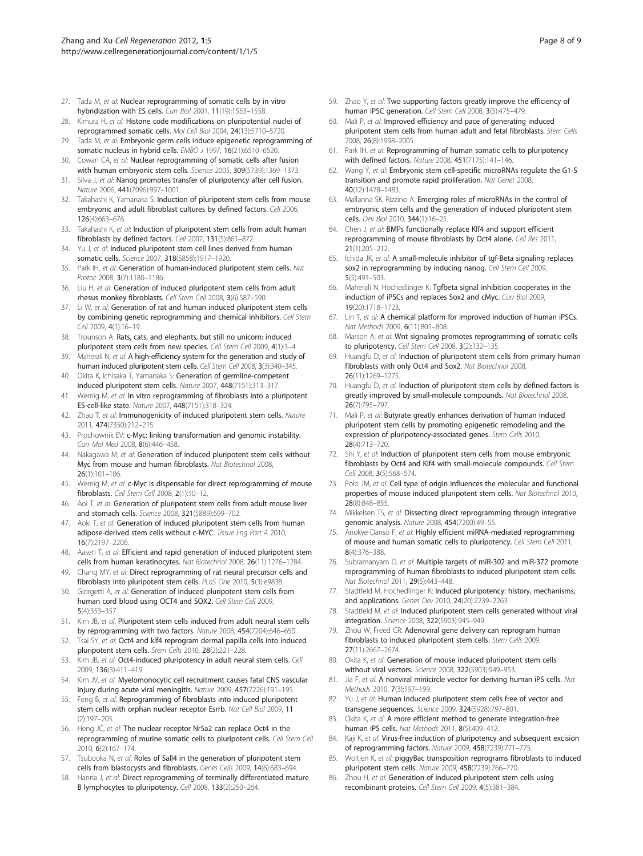- <span id="page-7-0"></span>27. Tada M, et al: Nuclear reprogramming of somatic cells by in vitro hybridization with ES cells. Curr Biol 2001, 11(19):1553–1558.
- 28. Kimura H, et al: Histone code modifications on pluripotential nuclei of reprogrammed somatic cells. Mol Cell Biol 2004, 24(13):5710–5720.
- 29. Tada M, et al: Embryonic germ cells induce epigenetic reprogramming of somatic nucleus in hybrid cells. EMBO J 1997, 16(21):6510–6520.
- 30. Cowan CA, et al: Nuclear reprogramming of somatic cells after fusion with human embryonic stem cells. Science 2005, 309(5739):1369–1373.
- 31. Silva J, et al: Nanog promotes transfer of pluripotency after cell fusion. Nature 2006, 441(7096):997–1001.
- 32. Takahashi K, Yamanaka S: Induction of pluripotent stem cells from mouse embryonic and adult fibroblast cultures by defined factors. Cell 2006 126(4):663–676.
- 33. Takahashi K, et al: Induction of pluripotent stem cells from adult human fibroblasts by defined factors. Cell 2007, 131(5):861–872.
- 34. Yu J, et al: Induced pluripotent stem cell lines derived from human somatic cells. Science 2007, 318(5858):1917–1920.
- 35. Park IH, et al: Generation of human-induced pluripotent stem cells. Nat Protoc 2008, 3(7):1180–1186.
- 36. Liu H, et al: Generation of induced pluripotent stem cells from adult rhesus monkey fibroblasts. Cell Stem Cell 2008, 3(6):587–590.
- 37. Li W, et al: Generation of rat and human induced pluripotent stem cells by combining genetic reprogramming and chemical inhibitors. Cell Stem Cell 2009, 4(1):16–19.
- 38. Trounson A: Rats, cats, and elephants, but still no unicorn: induced pluripotent stem cells from new species. Cell Stem Cell 2009, 4(1):3–4.
- 39. Maherali N, et al: A high-efficiency system for the generation and study of human induced pluripotent stem cells. Cell Stem Cell 2008, 3(3):340–345.
- 40. Okita K, Ichisaka T, Yamanaka S: Generation of germline-competent induced pluripotent stem cells. Nature 2007, 448(7151):313–317.
- 41. Wernig M, et al: In vitro reprogramming of fibroblasts into a pluripotent ES-cell-like state. Nature 2007, 448(7151):318–324.
- 42. Zhao T, et al: Immunogenicity of induced pluripotent stem cells. Nature 2011, 474(7350):212–215.
- 43. Prochownik EV: c-Myc: linking transformation and genomic instability. Curr Mol Med 2008, 8(6):446–458.
- 44. Nakagawa M, et al: Generation of induced pluripotent stem cells without Myc from mouse and human fibroblasts. Nat Biotechnol 2008, 26(1):101–106.
- 45. Wernig M, et al: c-Myc is dispensable for direct reprogramming of mouse fibroblasts. Cell Stem Cell 2008, 2(1):10–12.
- 46. Aoi T, et al: Generation of pluripotent stem cells from adult mouse liver and stomach cells. Science 2008, 321(5889):699–702.
- 47. Aoki T, et al: Generation of induced pluripotent stem cells from human adipose-derived stem cells without c-MYC. Tissue Eng Part A 2010, 16(7):2197–2206.
- 48. Aasen T, et al: Efficient and rapid generation of induced pluripotent stem cells from human keratinocytes. Nat Biotechnol 2008, 26(11):1276–1284.
- 49. Chang MY, et al: Direct reprogramming of rat neural precursor cells and fibroblasts into pluripotent stem cells. PLoS One 2010, 5(3):e9838.
- 50. Giorgetti A, et al: Generation of induced pluripotent stem cells from human cord blood using OCT4 and SOX2. Cell Stem Cell 2009, 5(4):353–357.
- 51. Kim JB, et al: Pluripotent stem cells induced from adult neural stem cells by reprogramming with two factors. Nature 2008, 454(7204):646–650.
- 52. Tsai SY, et al: Oct4 and klf4 reprogram dermal papilla cells into induced pluripotent stem cells. Stem Cells 2010, 28(2):221–228.
- 53. Kim JB, et al: Oct4-induced pluripotency in adult neural stem cells. Cell 2009, 136(3):411–419.
- 54. Kim JV, et al: Myelomonocytic cell recruitment causes fatal CNS vascular injury during acute viral meningitis. Nature 2009, 457(7226):191–195.
- 55. Feng B, et al: Reprogramming of fibroblasts into induced pluripotent stem cells with orphan nuclear receptor Esrrb. Nat Cell Biol 2009, 11 (2):197–203.
- 56. Heng JC, et al: The nuclear receptor Nr5a2 can replace Oct4 in the reprogramming of murine somatic cells to pluripotent cells. Cell Stem Cell 2010, 6(2):167–174.
- 57. Tsubooka N, et al: Roles of Sall4 in the generation of pluripotent stem cells from blastocysts and fibroblasts. Genes Cells 2009, 14(6):683–694.
- 58. Hanna J, et al: Direct reprogramming of terminally differentiated mature B lymphocytes to pluripotency. Cell 2008, 133(2):250–264.
- 59. Zhao Y, et al: Two supporting factors greatly improve the efficiency of human iPSC generation. Cell Stem Cell 2008, 3(5):475–479.
- 60. Mali P, et al: Improved efficiency and pace of generating induced pluripotent stem cells from human adult and fetal fibroblasts. Stem Cells 2008, 26(8):1998–2005.
- 61. Park IH, et al: Reprogramming of human somatic cells to pluripotency with defined factors. Nature 2008, 451(7175):141–146.
- 62. Wang Y, et al: Embryonic stem cell-specific microRNAs regulate the G1-S transition and promote rapid proliferation. Nat Genet 2008, 40(12):1478–1483.
- 63. Mallanna SK, Rizzino A: Emerging roles of microRNAs in the control of embryonic stem cells and the generation of induced pluripotent stem cells. Dev Biol 2010, 344(1):16–25.
- 64. Chen J, et al: BMPs functionally replace Klf4 and support efficient reprogramming of mouse fibroblasts by Oct4 alone. Cell Res 2011, 21(1):205–212.
- 65. Ichida JK, et al: A small-molecule inhibitor of tgf-Beta signaling replaces sox2 in reprogramming by inducing nanog. Cell Stem Cell 2009, 5(5):491–503.
- 66. Maherali N, Hochedlinger K: Tgfbeta signal inhibition cooperates in the induction of iPSCs and replaces Sox2 and cMyc. Curr Biol 2009, 19(20):1718–1723.
- 67. Lin T, et al: A chemical platform for improved induction of human iPSCs. Nat Methods 2009, 6(11):805–808.
- Marson A, et al: Wnt signaling promotes reprogramming of somatic cells to pluripotency. Cell Stem Cell 2008, 3(2):132–135.
- 69. Huangfu D, et al: Induction of pluripotent stem cells from primary human fibroblasts with only Oct4 and Sox2. Nat Biotechnol 2008, 26(11):1269–1275.
- 70. Huangfu D, et al: Induction of pluripotent stem cells by defined factors is greatly improved by small-molecule compounds. Nat Biotechnol 2008, 26(7):795–797.
- 71. Mali P, et al: Butyrate greatly enhances derivation of human induced pluripotent stem cells by promoting epigenetic remodeling and the expression of pluripotency-associated genes. Stem Cells 2010, 28(4):713–720.
- 72. Shi Y, et al: Induction of pluripotent stem cells from mouse embryonic fibroblasts by Oct4 and Klf4 with small-molecule compounds. Cell Stem Cell 2008, 3(5):568-574.
- 73. Polo JM, et al: Cell type of origin influences the molecular and functional properties of mouse induced pluripotent stem cells. Nat Biotechnol 2010, 28(8):848–855.
- 74. Mikkelsen TS, et al: Dissecting direct reprogramming through integrative genomic analysis. Nature 2008, 454(7200):49–55.
- 75. Anokye-Danso F, et al: Highly efficient miRNA-mediated reprogramming of mouse and human somatic cells to pluripotency. Cell Stem Cell 2011, 8(4):376–388.
- 76. Subramanyam D, et al: Multiple targets of miR-302 and miR-372 promote reprogramming of human fibroblasts to induced pluripotent stem cells. Nat Biotechnol 2011, 29(5):443-448.
- 77. Stadtfeld M, Hochedlinger K: Induced pluripotency: history, mechanisms, and applications. Genes Dev 2010, 24(20):2239–2263.
- 78. Stadtfeld M, et al: Induced pluripotent stem cells generated without viral integration. Science 2008, 322(5903):945–949.
- 79. Zhou W, Freed CR: Adenoviral gene delivery can reprogram human fibroblasts to induced pluripotent stem cells. Stem Cells 2009, 27(11):2667–2674.
- 80. Okita K, et al: Generation of mouse induced pluripotent stem cells without viral vectors. Science 2008, 322(5903):949–953.
- 81. Jia F, et al: A nonviral minicircle vector for deriving human iPS cells. Nat Methods 2010, 7(3):197–199.
- 82. Yu J, et al: Human induced pluripotent stem cells free of vector and transgene sequences. Science 2009, 324(5928):797–801.
- 83. Okita K, et al: A more efficient method to generate integration-free human iPS cells. Nat Methods 2011, 8(5):409–412.
- Kaji K, et al: Virus-free induction of pluripotency and subsequent excision of reprogramming factors. Nature 2009, 458(7239):771–775.
- Woltjen K, et al: piggyBac transposition reprograms fibroblasts to induced pluripotent stem cells. Nature 2009, 458(7239):766–770.
- 86. Zhou H, et al: Generation of induced pluripotent stem cells using recombinant proteins. Cell Stem Cell 2009, 4(5):381–384.